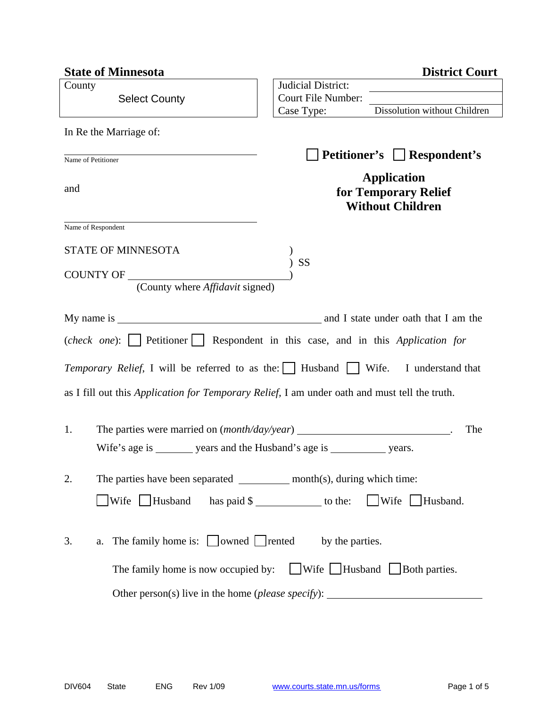| <b>State of Minnesota</b>                                                                     | <b>District Court</b>                                                                  |
|-----------------------------------------------------------------------------------------------|----------------------------------------------------------------------------------------|
| County<br><b>Select County</b>                                                                | Judicial District:<br>Court File Number:<br>Dissolution without Children<br>Case Type: |
| In Re the Marriage of:                                                                        |                                                                                        |
| Name of Petitioner                                                                            | <b>Petitioner's</b> □ Respondent's                                                     |
| and                                                                                           | <b>Application</b><br>for Temporary Relief<br><b>Without Children</b>                  |
| Name of Respondent                                                                            |                                                                                        |
| <b>STATE OF MINNESOTA</b><br>COUNTY OF<br>(County where <i>Affidavit</i> signed)              | SS                                                                                     |
|                                                                                               | (check one): Petitioner Respondent in this case, and in this Application for           |
| <i>Temporary Relief</i> , I will be referred to as the: Husband Wife.                         | I understand that                                                                      |
| as I fill out this Application for Temporary Relief, I am under oath and must tell the truth. |                                                                                        |
| 1.<br>Wife's age is _________ years and the Husband's age is ______________ years.            | The                                                                                    |
| The parties have been separated ____________ month(s), during which time:<br>2.               |                                                                                        |
| $\exists$ Wife $\Box$ Husband has paid \$ ______________ to the:                              | Wife Husband.                                                                          |
| The family home is: $\Box$ owned $\Box$ rented<br>3.<br>a.                                    | by the parties.                                                                        |
|                                                                                               | The family home is now occupied by: $\Box$ Wife $\Box$ Husband $\Box$ Both parties.    |
|                                                                                               |                                                                                        |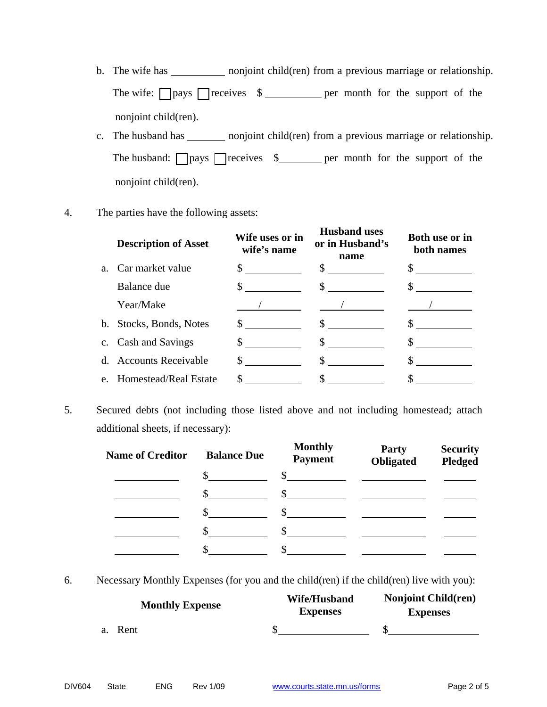- b. The wife has \_\_\_\_\_\_\_\_\_\_\_\_ nonjoint child(ren) from a previous marriage or relationship. The wife:  $\Box$  pays  $\Box$  receives  $\$\underline{\hspace{1cm}}$  per month for the support of the nonjoint child(ren).
- c. The husband has \_\_\_\_\_\_\_\_\_ nonjoint child(ren) from a previous marriage or relationship. The husband:  $\Box$  pays  $\Box$  receives  $\$\underline{\hspace{1cm}}$  per month for the support of the nonjoint child(ren).
- 4. The parties have the following assets:

|                | <b>Description of Asset</b> | Wife uses or in<br>wife's name | <b>Husband uses</b><br>or in Husband's<br>name                                                                              | <b>Both use or in</b><br>both names |
|----------------|-----------------------------|--------------------------------|-----------------------------------------------------------------------------------------------------------------------------|-------------------------------------|
| $a_{-}$        | Car market value            | $\frac{\text{S}}{\text{S}}$    | \$<br><u> a shekara ta 1999 a shekara ta 1991 a shekara ta 1991 a shekara ta 1991 a shekara ta 1991 a shekara ta 1991 a</u> |                                     |
|                | Balance due                 |                                | \$                                                                                                                          |                                     |
|                | Year/Make                   |                                |                                                                                                                             |                                     |
| $\mathbf{b}$ . | Stocks, Bonds, Notes        | $\mathbb{S}$                   | \$                                                                                                                          |                                     |
|                | c. Cash and Savings         | \$                             | \$                                                                                                                          |                                     |
|                | d. Accounts Receivable      |                                | \$                                                                                                                          |                                     |
| e.             | Homestead/Real Estate       | \$                             |                                                                                                                             |                                     |

5. Secured debts (not including those listed above and not including homestead; attach additional sheets, if necessary):

| <b>Name of Creditor</b> | <b>Balance Due</b> | <b>Monthly</b><br><b>Payment</b> | <b>Party</b><br>Obligated | <b>Security</b><br><b>Pledged</b> |
|-------------------------|--------------------|----------------------------------|---------------------------|-----------------------------------|
|                         | \$.                | <sup>\$</sup>                    |                           |                                   |
|                         | \$                 | \$.                              |                           |                                   |
|                         |                    |                                  |                           |                                   |
|                         |                    |                                  |                           |                                   |
|                         |                    |                                  |                           |                                   |

6. Necessary Monthly Expenses (for you and the child(ren) if the child(ren) live with you):

| <b>Monthly Expense</b> | Wife/Husband<br><b>Expenses</b> | <b>Nonjoint Child(ren)</b><br><b>Expenses</b> |
|------------------------|---------------------------------|-----------------------------------------------|
| a. Rent                |                                 |                                               |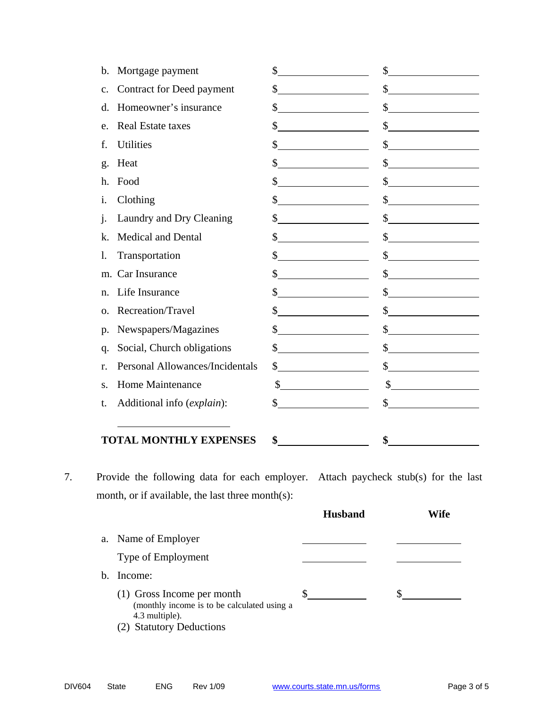| b.             | Mortgage payment                | \$                                                                                                                                                                                                                                                                                                                                                                                                                                     | \$                          |
|----------------|---------------------------------|----------------------------------------------------------------------------------------------------------------------------------------------------------------------------------------------------------------------------------------------------------------------------------------------------------------------------------------------------------------------------------------------------------------------------------------|-----------------------------|
| $\mathbf{C}$ . | Contract for Deed payment       | \$                                                                                                                                                                                                                                                                                                                                                                                                                                     | $\frac{\sqrt{2}}{2}$        |
| d.             | Homeowner's insurance           | \$                                                                                                                                                                                                                                                                                                                                                                                                                                     | s                           |
| e.             | <b>Real Estate taxes</b>        | \$                                                                                                                                                                                                                                                                                                                                                                                                                                     | s                           |
| f.             | <b>Utilities</b>                | \$                                                                                                                                                                                                                                                                                                                                                                                                                                     | $\frac{1}{2}$               |
| g.             | Heat                            | \$                                                                                                                                                                                                                                                                                                                                                                                                                                     | $\frac{\sqrt{2}}{2}$        |
| h.             | Food                            | \$                                                                                                                                                                                                                                                                                                                                                                                                                                     | $\frac{\text{S}}{\text{S}}$ |
| i.             | Clothing                        | \$                                                                                                                                                                                                                                                                                                                                                                                                                                     | $\frac{1}{2}$               |
| 1.             | Laundry and Dry Cleaning        | $\frac{1}{2}$                                                                                                                                                                                                                                                                                                                                                                                                                          | s                           |
| k.             | <b>Medical and Dental</b>       | \$                                                                                                                                                                                                                                                                                                                                                                                                                                     | $\frac{1}{2}$               |
| 1.             | Transportation                  | \$                                                                                                                                                                                                                                                                                                                                                                                                                                     | $\frac{1}{2}$               |
|                | m. Car Insurance                | \$                                                                                                                                                                                                                                                                                                                                                                                                                                     | $\frac{1}{2}$               |
| $n_{\cdot}$    | Life Insurance                  | \$                                                                                                                                                                                                                                                                                                                                                                                                                                     | $\frac{1}{2}$               |
| 0.             | Recreation/Travel               | $\mathbb{S}$<br><u> 1990 - Johann Barbara, martin a</u>                                                                                                                                                                                                                                                                                                                                                                                | $\frac{1}{2}$               |
| p.             | Newspapers/Magazines            | \$                                                                                                                                                                                                                                                                                                                                                                                                                                     | s                           |
| q.             | Social, Church obligations      | \$                                                                                                                                                                                                                                                                                                                                                                                                                                     | $\frac{1}{2}$               |
| r.             | Personal Allowances/Incidentals | \$<br><u> 1990 - Johann Barbara, martin a</u>                                                                                                                                                                                                                                                                                                                                                                                          | $\frac{1}{2}$               |
| S.             | <b>Home Maintenance</b>         | $\overline{\phantom{a}}$ . The contract of $\overline{\phantom{a}}$ , $\overline{\phantom{a}}$ , $\overline{\phantom{a}}$ , $\overline{\phantom{a}}$ , $\overline{\phantom{a}}$ , $\overline{\phantom{a}}$ , $\overline{\phantom{a}}$ , $\overline{\phantom{a}}$ , $\overline{\phantom{a}}$ , $\overline{\phantom{a}}$ , $\overline{\phantom{a}}$ , $\overline{\phantom{a}}$ , $\overline{\phantom{a}}$ , $\overline{\phantom{a$<br>\$ | $\frac{\sqrt{2}}{2}$        |
| t.             | Additional info (explain):      | \$                                                                                                                                                                                                                                                                                                                                                                                                                                     | $\frac{1}{2}$               |
|                |                                 |                                                                                                                                                                                                                                                                                                                                                                                                                                        |                             |
|                | <b>TOTAL MONTHLY EXPENSES</b>   | \$                                                                                                                                                                                                                                                                                                                                                                                                                                     | \$                          |

7. Provide the following data for each employer. Attach paycheck stub(s) for the last month, or if available, the last three month(s):

|    |                                                                                                                            | <b>Husband</b> | Wife |
|----|----------------------------------------------------------------------------------------------------------------------------|----------------|------|
|    | a. Name of Employer                                                                                                        |                |      |
|    | Type of Employment                                                                                                         |                |      |
| h. | Income:                                                                                                                    |                |      |
|    | (1) Gross Income per month<br>(monthly income is to be calculated using a<br>4.3 multiple).<br><b>Statutory Deductions</b> | JЭ             |      |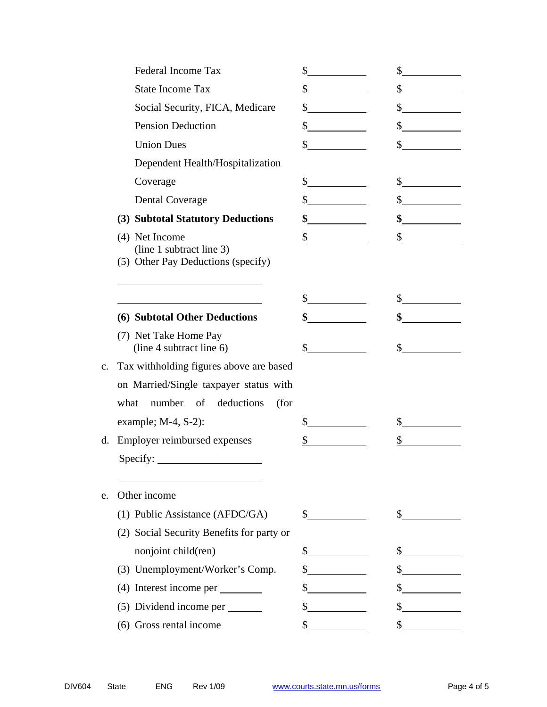| <b>Federal Income Tax</b>                                                        | \$                    | \$                                                                                                                                                                                                                                                                                                                                                                           |
|----------------------------------------------------------------------------------|-----------------------|------------------------------------------------------------------------------------------------------------------------------------------------------------------------------------------------------------------------------------------------------------------------------------------------------------------------------------------------------------------------------|
| <b>State Income Tax</b>                                                          | \$                    | $\sim$                                                                                                                                                                                                                                                                                                                                                                       |
| Social Security, FICA, Medicare                                                  | \$                    | \$<br><u>and a strong part of the strong part of the strong part of the strong part of the strong part of the strong par</u>                                                                                                                                                                                                                                                 |
| <b>Pension Deduction</b>                                                         | \$                    | $\mathbb{S}$                                                                                                                                                                                                                                                                                                                                                                 |
| <b>Union Dues</b>                                                                | \$                    | \$                                                                                                                                                                                                                                                                                                                                                                           |
| Dependent Health/Hospitalization                                                 |                       |                                                                                                                                                                                                                                                                                                                                                                              |
| Coverage                                                                         | \$                    | $\frac{\text{S}}{\text{S}}$                                                                                                                                                                                                                                                                                                                                                  |
| <b>Dental Coverage</b>                                                           | $\frac{\cdot}{\cdot}$ | $\frac{\S_{\frac{1}{2}}}{\S_{\frac{1}{2}}}{\S_{\frac{1}{2}}}{\S_{\frac{1}{2}}}{\S_{\frac{1}{2}}}{\S_{\frac{1}{2}}}{\S_{\frac{1}{2}}}{\S_{\frac{1}{2}}}{\S_{\frac{1}{2}}}{\S_{\frac{1}{2}}}{\S_{\frac{1}{2}}}{\S_{\frac{1}{2}}}{\S_{\frac{1}{2}}}{\S_{\frac{1}{2}}}{\S_{\frac{1}{2}}}{\S_{\frac{1}{2}}}{\S_{\frac{1}{2}}}{\S_{\frac{1}{2}}}{\S_{\frac{1}{2}}}{\S_{\frac{1}{2$ |
| (3) Subtotal Statutory Deductions                                                |                       |                                                                                                                                                                                                                                                                                                                                                                              |
| (4) Net Income<br>(line 1 subtract line 3)<br>(5) Other Pay Deductions (specify) | \$                    | \$                                                                                                                                                                                                                                                                                                                                                                           |
|                                                                                  | \$                    | \$                                                                                                                                                                                                                                                                                                                                                                           |
| (6) Subtotal Other Deductions                                                    | \$                    | \$                                                                                                                                                                                                                                                                                                                                                                           |
| (7) Net Take Home Pay<br>(line 4 subtract line 6)                                | \$                    | \$                                                                                                                                                                                                                                                                                                                                                                           |
| Tax withholding figures above are based                                          |                       |                                                                                                                                                                                                                                                                                                                                                                              |
| on Married/Single taxpayer status with                                           |                       |                                                                                                                                                                                                                                                                                                                                                                              |
| number of deductions<br>what<br>(for                                             |                       |                                                                                                                                                                                                                                                                                                                                                                              |
| example; $M-4$ , $S-2$ ):                                                        | \$                    | \$                                                                                                                                                                                                                                                                                                                                                                           |
| Employer reimbursed expenses                                                     | \$                    | \$                                                                                                                                                                                                                                                                                                                                                                           |
| Specify:                                                                         |                       |                                                                                                                                                                                                                                                                                                                                                                              |
| Other income                                                                     |                       |                                                                                                                                                                                                                                                                                                                                                                              |
| (1) Public Assistance (AFDC/GA)                                                  | $\frac{1}{2}$         | $\mathcal{S}$                                                                                                                                                                                                                                                                                                                                                                |
| (2) Social Security Benefits for party or                                        |                       |                                                                                                                                                                                                                                                                                                                                                                              |
| nonjoint child(ren)                                                              | \$                    | \$                                                                                                                                                                                                                                                                                                                                                                           |
| (3) Unemployment/Worker's Comp.                                                  | \$                    | \$                                                                                                                                                                                                                                                                                                                                                                           |
| (4) Interest income per                                                          | \$                    | \$                                                                                                                                                                                                                                                                                                                                                                           |
| (5) Dividend income per _________                                                | \$                    | \$                                                                                                                                                                                                                                                                                                                                                                           |
| (6) Gross rental income                                                          | \$                    | \$                                                                                                                                                                                                                                                                                                                                                                           |